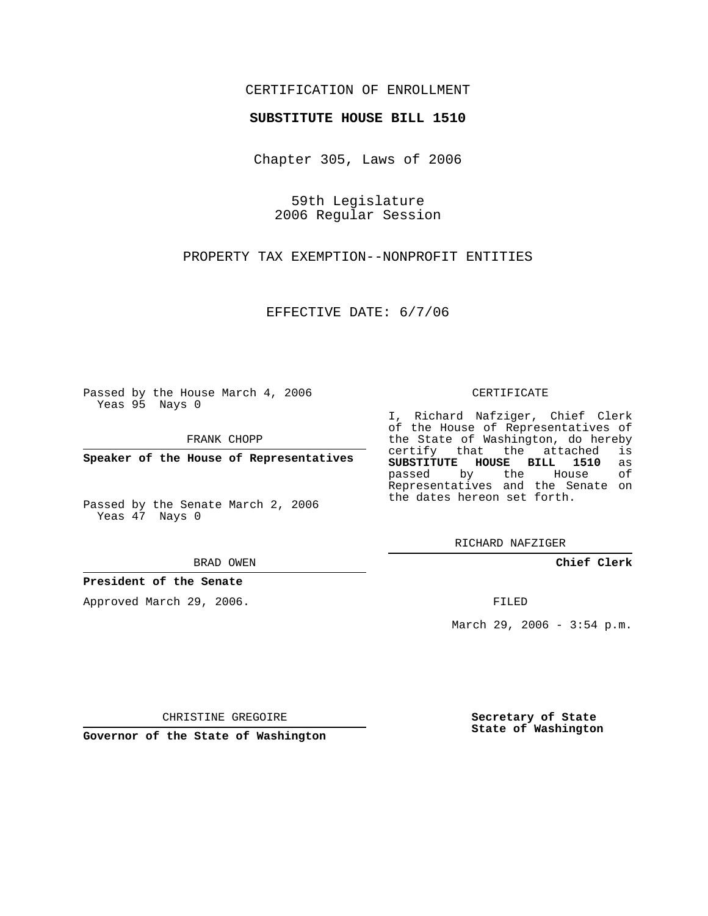## CERTIFICATION OF ENROLLMENT

#### **SUBSTITUTE HOUSE BILL 1510**

Chapter 305, Laws of 2006

59th Legislature 2006 Regular Session

PROPERTY TAX EXEMPTION--NONPROFIT ENTITIES

EFFECTIVE DATE: 6/7/06

Passed by the House March 4, 2006 Yeas 95 Nays 0

FRANK CHOPP

**Speaker of the House of Representatives**

Passed by the Senate March 2, 2006 Yeas 47 Nays 0

BRAD OWEN

### **President of the Senate**

Approved March 29, 2006.

#### CERTIFICATE

I, Richard Nafziger, Chief Clerk of the House of Representatives of the State of Washington, do hereby<br>certify that the attached is certify that the attached **SUBSTITUTE HOUSE BILL 1510** as passed by the House Representatives and the Senate on the dates hereon set forth.

RICHARD NAFZIGER

**Chief Clerk**

FILED

March 29, 2006 - 3:54 p.m.

CHRISTINE GREGOIRE

**Governor of the State of Washington**

**Secretary of State State of Washington**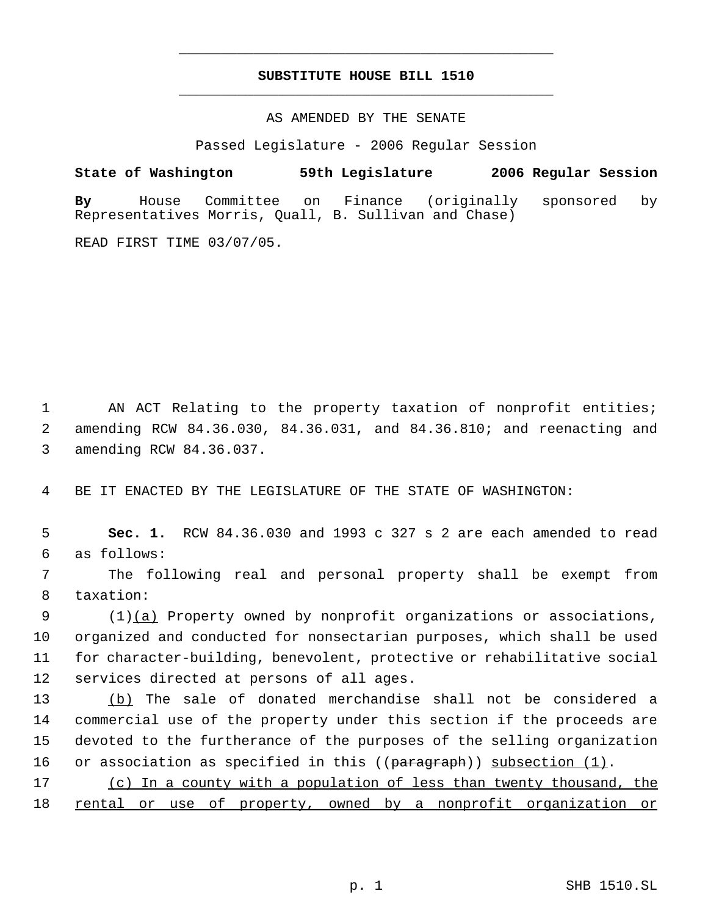# **SUBSTITUTE HOUSE BILL 1510** \_\_\_\_\_\_\_\_\_\_\_\_\_\_\_\_\_\_\_\_\_\_\_\_\_\_\_\_\_\_\_\_\_\_\_\_\_\_\_\_\_\_\_\_\_

\_\_\_\_\_\_\_\_\_\_\_\_\_\_\_\_\_\_\_\_\_\_\_\_\_\_\_\_\_\_\_\_\_\_\_\_\_\_\_\_\_\_\_\_\_

AS AMENDED BY THE SENATE

Passed Legislature - 2006 Regular Session

**State of Washington 59th Legislature 2006 Regular Session By** House Committee on Finance (originally sponsored by Representatives Morris, Quall, B. Sullivan and Chase)

READ FIRST TIME 03/07/05.

1 AN ACT Relating to the property taxation of nonprofit entities; 2 amending RCW 84.36.030, 84.36.031, and 84.36.810; and reenacting and 3 amending RCW 84.36.037.

4 BE IT ENACTED BY THE LEGISLATURE OF THE STATE OF WASHINGTON:

 5 **Sec. 1.** RCW 84.36.030 and 1993 c 327 s 2 are each amended to read 6 as follows:

 7 The following real and personal property shall be exempt from 8 taxation:

9 (1)(a) Property owned by nonprofit organizations or associations, organized and conducted for nonsectarian purposes, which shall be used for character-building, benevolent, protective or rehabilitative social services directed at persons of all ages.

 (b) The sale of donated merchandise shall not be considered a commercial use of the property under this section if the proceeds are devoted to the furtherance of the purposes of the selling organization 16 or association as specified in this ((paragraph)) subsection (1).

17 (c) In a county with a population of less than twenty thousand, the 18 rental or use of property, owned by a nonprofit organization or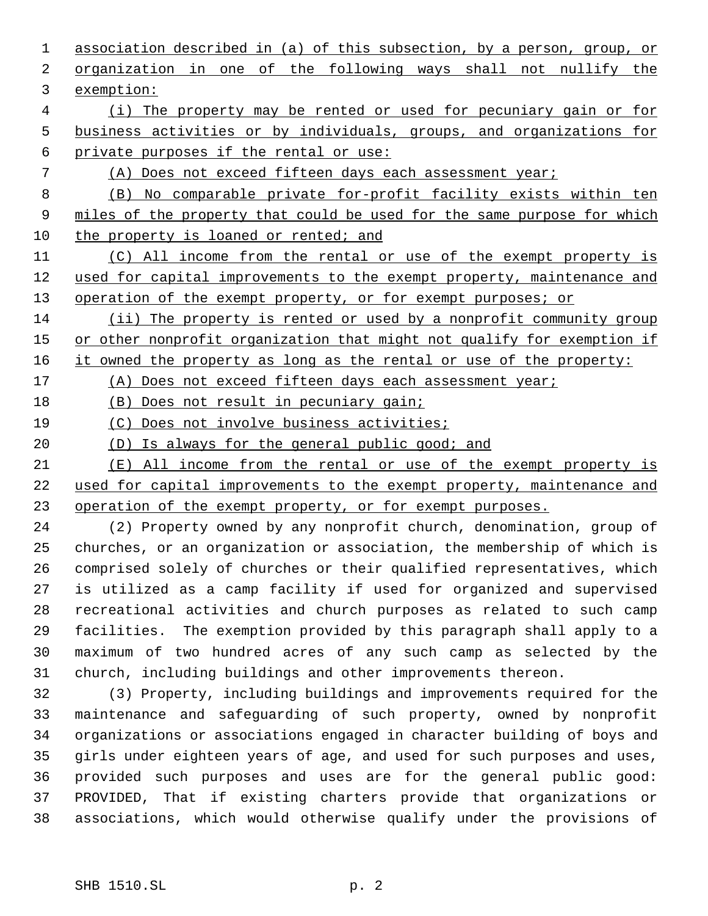association described in (a) of this subsection, by a person, group, or organization in one of the following ways shall not nullify the exemption: (i) The property may be rented or used for pecuniary gain or for business activities or by individuals, groups, and organizations for private purposes if the rental or use: (A) Does not exceed fifteen days each assessment year; (B) No comparable private for-profit facility exists within ten 9 miles of the property that could be used for the same purpose for which 10 the property is loaned or rented; and 11 (C) All income from the rental or use of the exempt property is 12 used for capital improvements to the exempt property, maintenance and 13 operation of the exempt property, or for exempt purposes; or (ii) The property is rented or used by a nonprofit community group 15 or other nonprofit organization that might not qualify for exemption if 16 it owned the property as long as the rental or use of the property: (A) Does not exceed fifteen days each assessment year; (B) Does not result in pecuniary gain; (C) Does not involve business activities; (D) Is always for the general public good; and (E) All income from the rental or use of the exempt property is used for capital improvements to the exempt property, maintenance and 23 operation of the exempt property, or for exempt purposes. (2) Property owned by any nonprofit church, denomination, group of churches, or an organization or association, the membership of which is

 comprised solely of churches or their qualified representatives, which is utilized as a camp facility if used for organized and supervised recreational activities and church purposes as related to such camp facilities. The exemption provided by this paragraph shall apply to a maximum of two hundred acres of any such camp as selected by the church, including buildings and other improvements thereon.

 (3) Property, including buildings and improvements required for the maintenance and safeguarding of such property, owned by nonprofit organizations or associations engaged in character building of boys and girls under eighteen years of age, and used for such purposes and uses, provided such purposes and uses are for the general public good: PROVIDED, That if existing charters provide that organizations or associations, which would otherwise qualify under the provisions of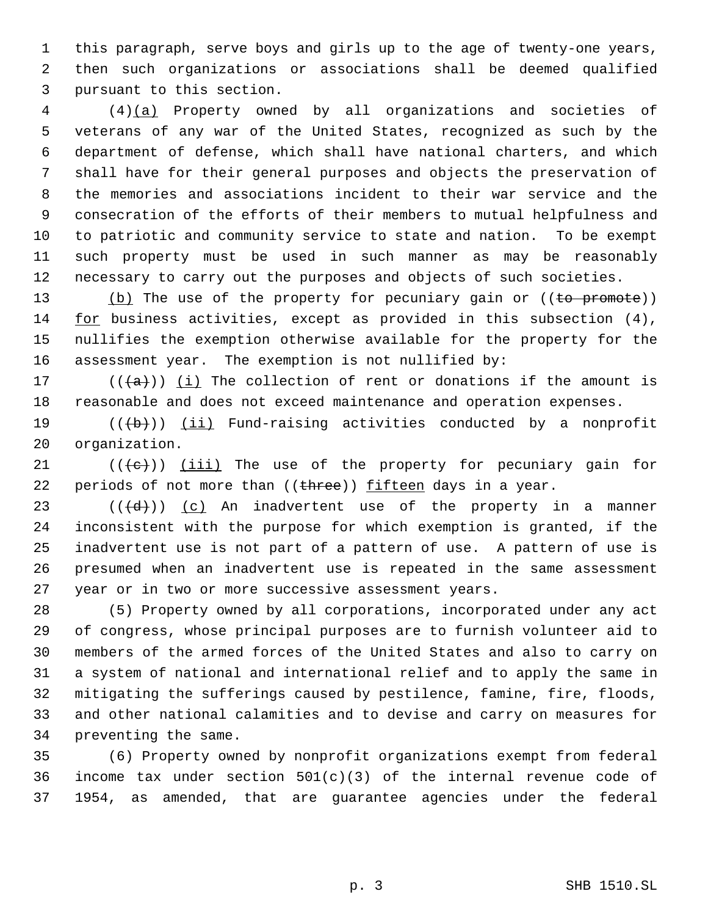this paragraph, serve boys and girls up to the age of twenty-one years, then such organizations or associations shall be deemed qualified pursuant to this section.

 (4)(a) Property owned by all organizations and societies of veterans of any war of the United States, recognized as such by the department of defense, which shall have national charters, and which shall have for their general purposes and objects the preservation of the memories and associations incident to their war service and the consecration of the efforts of their members to mutual helpfulness and to patriotic and community service to state and nation. To be exempt such property must be used in such manner as may be reasonably necessary to carry out the purposes and objects of such societies.

13 (b) The use of the property for pecuniary gain or ((to promote)) for business activities, except as provided in this subsection (4), nullifies the exemption otherwise available for the property for the assessment year. The exemption is not nullified by:

17 ( $(\overline{a})$ ) (i) The collection of rent or donations if the amount is reasonable and does not exceed maintenance and operation expenses.

19  $((+b))$   $(ii)$  Fund-raising activities conducted by a nonprofit organization.

21  $((\{e\})$   $(iii)$  The use of the property for pecuniary gain for 22 periods of not more than  $((there))$  fifteen days in a year.

 $((\overline{d}))$   $(c)$  An inadvertent use of the property in a manner inconsistent with the purpose for which exemption is granted, if the inadvertent use is not part of a pattern of use. A pattern of use is presumed when an inadvertent use is repeated in the same assessment year or in two or more successive assessment years.

 (5) Property owned by all corporations, incorporated under any act of congress, whose principal purposes are to furnish volunteer aid to members of the armed forces of the United States and also to carry on a system of national and international relief and to apply the same in mitigating the sufferings caused by pestilence, famine, fire, floods, and other national calamities and to devise and carry on measures for preventing the same.

 (6) Property owned by nonprofit organizations exempt from federal income tax under section 501(c)(3) of the internal revenue code of 1954, as amended, that are guarantee agencies under the federal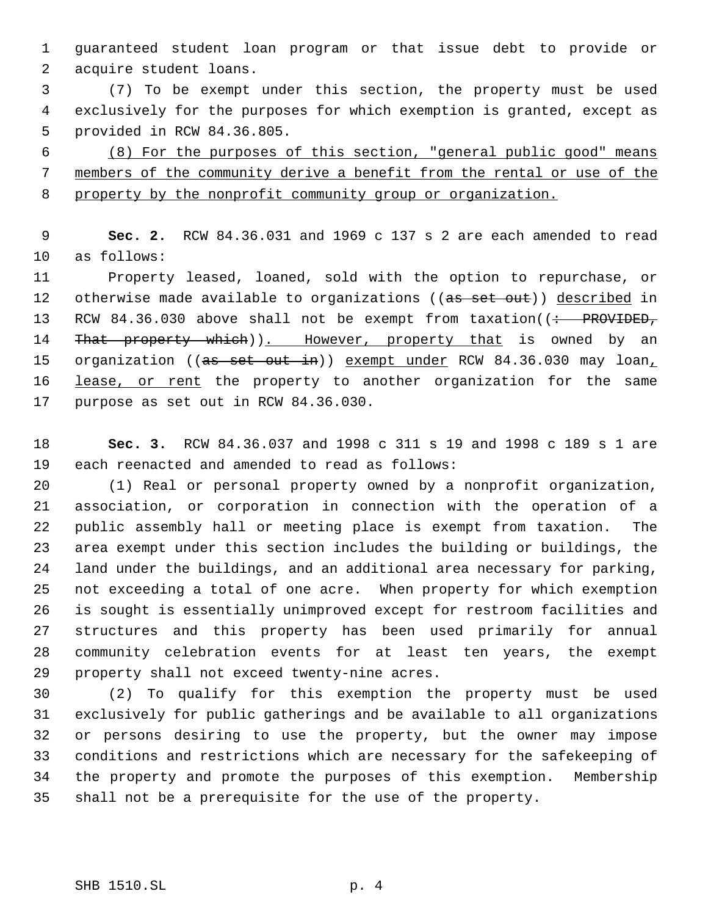guaranteed student loan program or that issue debt to provide or acquire student loans.

 (7) To be exempt under this section, the property must be used exclusively for the purposes for which exemption is granted, except as provided in RCW 84.36.805.

 (8) For the purposes of this section, "general public good" means members of the community derive a benefit from the rental or use of the property by the nonprofit community group or organization.

 **Sec. 2.** RCW 84.36.031 and 1969 c 137 s 2 are each amended to read as follows:

 Property leased, loaned, sold with the option to repurchase, or 12 otherwise made available to organizations ((as set out)) described in 13 RCW 84.36.030 above shall not be exempt from taxation((: PROVIDED, 14 That property which)). However, property that is owned by an 15 organization ((as set out in)) exempt under RCW 84.36.030 may loan, 16 lease, or rent the property to another organization for the same purpose as set out in RCW 84.36.030.

 **Sec. 3.** RCW 84.36.037 and 1998 c 311 s 19 and 1998 c 189 s 1 are each reenacted and amended to read as follows:

 (1) Real or personal property owned by a nonprofit organization, association, or corporation in connection with the operation of a public assembly hall or meeting place is exempt from taxation. The area exempt under this section includes the building or buildings, the land under the buildings, and an additional area necessary for parking, not exceeding a total of one acre. When property for which exemption is sought is essentially unimproved except for restroom facilities and structures and this property has been used primarily for annual community celebration events for at least ten years, the exempt property shall not exceed twenty-nine acres.

 (2) To qualify for this exemption the property must be used exclusively for public gatherings and be available to all organizations or persons desiring to use the property, but the owner may impose conditions and restrictions which are necessary for the safekeeping of the property and promote the purposes of this exemption. Membership shall not be a prerequisite for the use of the property.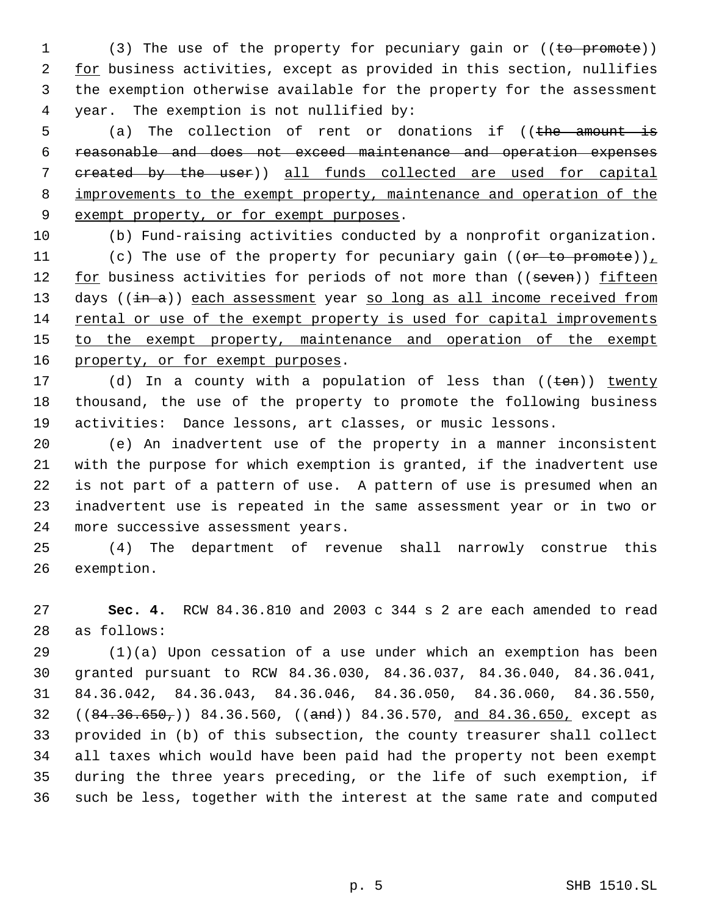1 (3) The use of the property for pecuniary gain or ((to promote)) 2 for business activities, except as provided in this section, nullifies the exemption otherwise available for the property for the assessment year. The exemption is not nullified by:

5 (a) The collection of rent or donations if ((the amount is reasonable and does not exceed maintenance and operation expenses 7 created by the user)) all funds collected are used for capital 8 improvements to the exempt property, maintenance and operation of the 9 exempt property, or for exempt purposes.

(b) Fund-raising activities conducted by a nonprofit organization.

11 (c) The use of the property for pecuniary gain ((or to promote)) 12 for business activities for periods of not more than ((seven)) fifteen 13 days ((in a)) each assessment year so long as all income received from rental or use of the exempt property is used for capital improvements 15 to the exempt property, maintenance and operation of the exempt 16 property, or for exempt purposes.

17 (d) In a county with a population of less than ((ten)) twenty thousand, the use of the property to promote the following business activities: Dance lessons, art classes, or music lessons.

 (e) An inadvertent use of the property in a manner inconsistent with the purpose for which exemption is granted, if the inadvertent use is not part of a pattern of use. A pattern of use is presumed when an inadvertent use is repeated in the same assessment year or in two or more successive assessment years.

 (4) The department of revenue shall narrowly construe this exemption.

 **Sec. 4.** RCW 84.36.810 and 2003 c 344 s 2 are each amended to read as follows:

 (1)(a) Upon cessation of a use under which an exemption has been granted pursuant to RCW 84.36.030, 84.36.037, 84.36.040, 84.36.041, 84.36.042, 84.36.043, 84.36.046, 84.36.050, 84.36.060, 84.36.550, 32 ((84.36.650,)) 84.36.560, ((and)) 84.36.570, and 84.36.650, except as provided in (b) of this subsection, the county treasurer shall collect all taxes which would have been paid had the property not been exempt during the three years preceding, or the life of such exemption, if such be less, together with the interest at the same rate and computed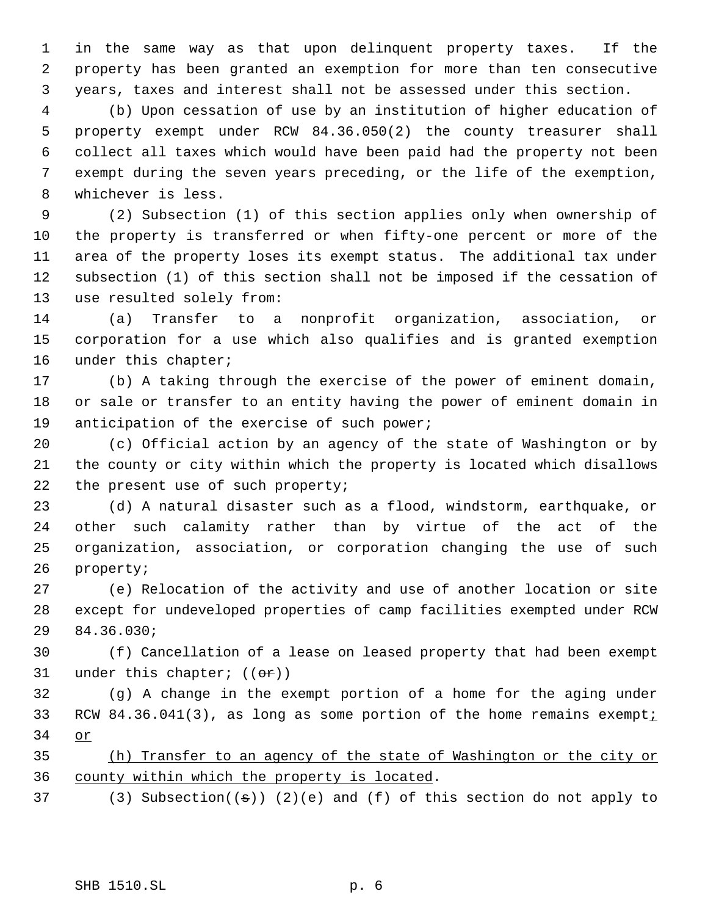in the same way as that upon delinquent property taxes. If the property has been granted an exemption for more than ten consecutive years, taxes and interest shall not be assessed under this section.

 (b) Upon cessation of use by an institution of higher education of property exempt under RCW 84.36.050(2) the county treasurer shall collect all taxes which would have been paid had the property not been exempt during the seven years preceding, or the life of the exemption, whichever is less.

 (2) Subsection (1) of this section applies only when ownership of the property is transferred or when fifty-one percent or more of the area of the property loses its exempt status. The additional tax under subsection (1) of this section shall not be imposed if the cessation of use resulted solely from:

 (a) Transfer to a nonprofit organization, association, or corporation for a use which also qualifies and is granted exemption 16 under this chapter;

 (b) A taking through the exercise of the power of eminent domain, or sale or transfer to an entity having the power of eminent domain in anticipation of the exercise of such power;

 (c) Official action by an agency of the state of Washington or by the county or city within which the property is located which disallows 22 the present use of such property;

 (d) A natural disaster such as a flood, windstorm, earthquake, or other such calamity rather than by virtue of the act of the organization, association, or corporation changing the use of such property;

 (e) Relocation of the activity and use of another location or site except for undeveloped properties of camp facilities exempted under RCW 84.36.030;

 (f) Cancellation of a lease on leased property that had been exempt 31 under this chapter;  $((\theta \cdot \hat{r}))$ 

 (g) A change in the exempt portion of a home for the aging under 33 RCW 84.36.041(3), as long as some portion of the home remains exempti or

 (h) Transfer to an agency of the state of Washington or the city or county within which the property is located.

37 (3) Subsection( $(\theta)$ ) (2)(e) and (f) of this section do not apply to